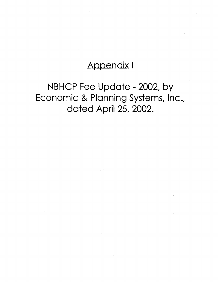# Appendix I

# NBHCP Fee Update - 2002, by Economic & Planning Systems, Inc., dated April 25, 2002.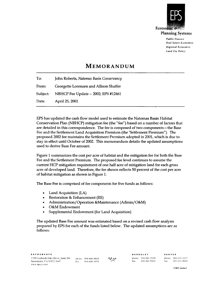

**Planning Systems** 

*Public Finance R eal Estate Economics Regional Economics Land Use Policy*

## **Memorandum**

To: John Roberts, *Natomas Basin Conservancy* From: Georgette Lorenzen and Allison Shaffer Subject: NBHCP Fee Update - 2002; EPS #12461 Date: April 25, 2002

EPS has updated the cash flow model used to estimate the Natomas Basin Habitat Conservation Plan (NBHCP) mitigation fee (the "fee") based on a number of factors that are detailed in this correspondence. The fee is composed of two components—the Base Fee and the Settlement Land Acquisition Premium (the 'Settlement Premium"). The proposed 2002 fee maintains the Settlement Premium adopted in 2001, which is due to stay in effect until October of 2002. This memorandum details the updated assumptions used to derive Base Fee amount.

Figure 1 summarizes the cost per acre of habitat and the mitigation fee for both the Base Fee and the Settlement Premium. The proposed fee level continues to assume the current HCP mitigation requirement of one half acre of mitigation land for each gross acre of developed land. Therefore, the fee shown reflects 50 percent of the cost per acre of habitat mitigation as shown in Figure 1.

The Base Fee is comprised of fee components for five funds as follows:

- Land Acquisition (LA)
- Restoration & Enhancement (RE)
- Administration/Operation &Maintenance (Admin/O&M)
- O&M Endowment
- Supplemental Endowment (for Land Acquisition)

The updated Base Fee amount was estimated based on a revised cash flow analysis prepared by EPS for each of the funds listed below. The updated assumptions are as follows:

phone: 916-649-8010 fax: 916-649-2070



DENVER phone: 303-623-3557 fax: 303-623-9049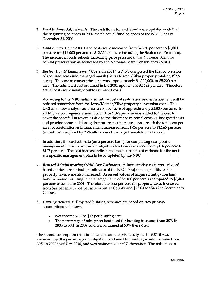- 1. *Fund Balance Adjustments:* The cash flows for each fund were updated such that the beginning balances in 2002 match actual fund balances of the NBHCP as of December 31, 2001.
- 2. *Land Acquisition Costs:* Land costs were increased from \$4,750 per acre to \$6,000 per acre (or \$11,000 per acre to \$12,250 per acre including the Settlement Premium). The increase in costs reflects increasing price pressure in the Natomas Basin for habitat preservation as witnessed by the Natomas Basin Conservancy (NBC).
- 3. *Restoration & Enhancement Costs:* In 2001 the NBC completed the first conversion of acquired acres into managed marsh (Betts/Kismat/Silva property totaling 192.5 acres). The cost to convert the acres was approximately \$1,000,000, or \$5,200 per acre. The estimated cost assumed in the 2001 update was \$2,482 per acre. Therefore, actual costs were nearly double estimated costs.

According to the NBC, estimated future costs of restoration and enhancement will be reduced somewhat from the Betts/Kismat/Silva property conversion costs. The 2002 cash flow analysis assumes a cost per acre of approximately \$5,000 per acre. In addition a contingency amount of 12% or \$164 per acre was added to the cost to cover the shortfall in revenues due to the difference in actual costs vs. budgeted costs and provide some cushion against future cost increases. As a result the total cost per acre for Restoration & Enhancement increased from \$736 per acre to \$1,565 per acre (actual cost weighted by 25% allocation of managed marsh to total acres).

In addition, the cost estimate (on a per acre basis) for completing site specific management plans for acquired mitigation land was increased from \$116 per acre to \$127 per acre. The cost increase reflects the most current cost estimate for the next site specific management plan to be completed by the NBC.

- 4. *Revised Administrative/O&M Cost Estimates:* Administrative costs were revised based on the current budget estimates of the NBC. Projected expenditures for property taxes were also increased. Assessed values of acquired mitigation land have increased resulting in an average value of \$5,100 per acre as compared to \$2,400 per acre assumed in 2001. Therefore the cost per acre for property taxes increased from \$24 per acre to \$51 per acre in Sutter County and \$25.60 to \$54.42 in Sacramento County.
- 5. *Hunting Revenues:* Projected hunting revenues are based on two primary assumptions as follows:
	- Net income will be \$12 per hunting acre
	- The percentage of mitigation land used for hunting increases from 30% in 2003 to 50% in 2009, and is maintained at 50% thereafter.

The second assumption reflects a change from the prior analysis. In 2001 it was assumed that the percentage of mitigation land used for hunting would increase from 30% in 2002 to 60% in 2010, and was maintained at 60% thereafter. The reduction in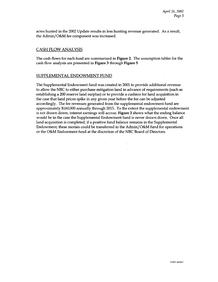acres hunted in the 2002 Update results in less hunting revenue generated. As a result, the Admin/O&M fee component was increased.

### CASH FLOW ANALYSIS

 $\sim 10^{-1}$  $\sim 10^{-11}$ 

The cash flows for each fund are summarized in Figure 2. The assumption tables for the cash flow analysis are presented in Figure 3 through Figure 5

#### SUPPLEMENTAL ENDOWMENT FUND

The Supplemental Endowment fund was created in 2001 to provide additional revenue to allow the NBC to either purchase mitigation land in advance of requirements (such as establishing a 200 reserve land surplus) or to provide a cushion for land acquisition in the case that land prices spike in any given year before the fee can be adjusted accordingly. The fee revenues generated from the supplemental endowment fund are approximately \$160,000 annually through 2015. To the extent the supplemental endowment is not drawn down, interest earnings will accrue. Figure 2 shows what the ending balance would be in the case the Supplemental Endowment fund is never drawn down. Once all land acquisition is completed, if a positive fund balance remains in the Supplemental Endowment, these monies could be transferred to the Admin/O&M fund for operations or the O&M Endowment fund at the discretion of the NBC Board of Directors.

 $\mathcal{D}(\mathcal{A})$  .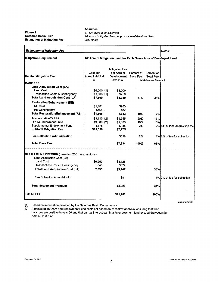**Figure 1 Natomas Basin HOP Estimation of Mitigation Fee** **Assumes:** *17,500 acres of development* 1/2 acre of mitigation land per gross acre of developed land *25% marsh*

| Cost per<br>Acre of Habitat<br>\$6,000 [1]<br>$$1,500$ [1]<br>\$7,500<br>\$1,401<br>\$164<br>\$1,565<br>$$3,110$ [2] | 1/2 Acre of Mitigation Land for Each Gross Acre of Developed Land<br><b>Mitigation Fee</b><br>per Acre of<br>Development<br>$b=a \times .5$<br>\$3,000<br>\$750<br>\$3,750<br>\$700<br>\$82 | Percent of Percent of<br><b>Base Fee</b><br>47% | <b>Total Fee</b><br>(w/ Settlement Premium)<br>31% |                               |
|----------------------------------------------------------------------------------------------------------------------|---------------------------------------------------------------------------------------------------------------------------------------------------------------------------------------------|-------------------------------------------------|----------------------------------------------------|-------------------------------|
|                                                                                                                      |                                                                                                                                                                                             |                                                 |                                                    |                               |
|                                                                                                                      |                                                                                                                                                                                             |                                                 |                                                    |                               |
|                                                                                                                      |                                                                                                                                                                                             |                                                 |                                                    |                               |
|                                                                                                                      |                                                                                                                                                                                             |                                                 |                                                    |                               |
|                                                                                                                      |                                                                                                                                                                                             |                                                 |                                                    |                               |
|                                                                                                                      |                                                                                                                                                                                             |                                                 |                                                    |                               |
|                                                                                                                      |                                                                                                                                                                                             |                                                 |                                                    |                               |
|                                                                                                                      |                                                                                                                                                                                             |                                                 |                                                    |                               |
|                                                                                                                      |                                                                                                                                                                                             |                                                 |                                                    |                               |
|                                                                                                                      |                                                                                                                                                                                             |                                                 |                                                    |                               |
|                                                                                                                      |                                                                                                                                                                                             |                                                 |                                                    |                               |
|                                                                                                                      |                                                                                                                                                                                             |                                                 |                                                    |                               |
|                                                                                                                      | \$782                                                                                                                                                                                       | 10%                                             | 7%                                                 |                               |
|                                                                                                                      | \$1.555                                                                                                                                                                                     | 20%                                             | 13%                                                |                               |
| $$3,000$ [2]                                                                                                         | \$1,500                                                                                                                                                                                     | 19%                                             | 13%                                                |                               |
| \$375                                                                                                                | \$188                                                                                                                                                                                       | 2%                                              |                                                    | 2% 5% of land acquisition fee |
| \$15,550                                                                                                             | \$7,775                                                                                                                                                                                     |                                                 |                                                    |                               |
|                                                                                                                      | \$159                                                                                                                                                                                       | 2%                                              |                                                    | 1%12% of fee for collection   |
|                                                                                                                      | \$7,934                                                                                                                                                                                     | 100%                                            | 66%                                                |                               |
|                                                                                                                      |                                                                                                                                                                                             |                                                 |                                                    |                               |
|                                                                                                                      |                                                                                                                                                                                             |                                                 |                                                    |                               |
| \$6,250                                                                                                              | \$3.125                                                                                                                                                                                     |                                                 |                                                    |                               |
|                                                                                                                      |                                                                                                                                                                                             |                                                 |                                                    |                               |
|                                                                                                                      | \$3,947                                                                                                                                                                                     |                                                 |                                                    |                               |
|                                                                                                                      | \$81                                                                                                                                                                                        |                                                 |                                                    | 1% 2% of fee for collection   |
|                                                                                                                      | \$4,028                                                                                                                                                                                     |                                                 | 34%                                                |                               |
|                                                                                                                      | \$11,962                                                                                                                                                                                    |                                                 | 100%                                               |                               |
|                                                                                                                      | 1,645<br>7,895                                                                                                                                                                              | \$822                                           |                                                    | 33%                           |

[1] Based on information provided by the Natomas Basin Conservancy

Administration/O&M and Endowment Fund costs set based on cash flow analysis, ensuring that fund balances are positive in year 50 and that annual interest earnings in endowment fund exceed drawdown by Admin/O&M fund.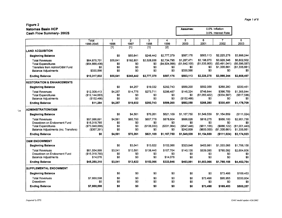| Cash Flow Summary-2002\$                                                                                                 |                                                                |                                  |                                    |                                        |                                             |                                                  | 3.0% Interest Rate                                     |                                                       |                                                         |  |
|--------------------------------------------------------------------------------------------------------------------------|----------------------------------------------------------------|----------------------------------|------------------------------------|----------------------------------------|---------------------------------------------|--------------------------------------------------|--------------------------------------------------------|-------------------------------------------------------|---------------------------------------------------------|--|
|                                                                                                                          | Total<br>1996-2045                                             | 1<br>1996                        | $\overline{2}$<br>1997             | $\overline{\mathbf{3}}$<br>1998        | 4<br>1999                                   | 5<br>2000                                        | 6<br>2001                                              | 7<br>2002                                             | 8<br>2003                                               |  |
| <b>LAND ACQUISITION</b>                                                                                                  |                                                                | $\overline{[1]}$                 | $[1]$                              | $[1]$                                  | $\overline{[2]}$                            |                                                  |                                                        |                                                       |                                                         |  |
| <b>Beginning Balance</b>                                                                                                 |                                                                | \$0                              | \$55,641                           | \$248,442                              | \$2,777,379                                 | \$587,176                                        | \$563,113                                              | \$2.225,278                                           | \$3,998,244                                             |  |
| <b>Total Revenues</b><br><b>Total Expenditures</b><br>Transfers from Admin/O&M Fund<br><b>Balance Adjustments</b>        | \$64,875,701<br>( \$54, 888, 436)<br>\$0<br>\$330,566          | \$55,641<br>\$0<br>\$0<br>\$0    | \$192,801<br>\$0<br>\$0<br>\$0     | \$2,528,936<br>\$0<br>\$0<br>\$0       | \$2,734,795<br>( \$4,924,998)<br>\$0<br>\$0 | \$1,287,471<br>(\$1,642,100)<br>\$0<br>\$330,566 | \$3,198,070<br>(\$1,535,905)<br>\$0<br>\$0             | \$3,928,346<br>$($ \$3,491,041)<br>\$1,335,661<br>\$0 | \$6,602,502<br>( \$6,596,587)<br>(\$1,335,661)<br>\$0   |  |
| <b>Ending Balance</b>                                                                                                    | \$10,317,832                                                   | \$55,641                         | \$248,442                          | \$2,777,379                            | \$587,176                                   | \$563,113                                        | \$2,225,278                                            | \$3,998,244                                           | \$2,668,497                                             |  |
| <b>RESTORATION &amp; ENHANCEMENTS</b>                                                                                    |                                                                |                                  |                                    |                                        |                                             |                                                  |                                                        |                                                       |                                                         |  |
| <b>Beginning Balance</b>                                                                                                 |                                                                | \$0                              | \$4,257                            | \$19,032                               | \$292,743                                   | \$589,200                                        | \$582,058                                              | \$268,280                                             | \$330,451                                               |  |
| <b>Total Revenues</b><br><b>Total Expenditures</b><br><b>Balance Adjustments</b><br><b>Ending Balance</b>                | \$12,308,413<br>(\$12,144,663)<br>(\$152,466)<br>\$11,284      | \$4,257<br>\$0<br>\$0<br>\$4,257 | \$14,775<br>\$0<br>\$0<br>\$19,032 | \$273.711<br>\$0<br>\$0<br>\$292,743   | \$296,457<br>\$0<br>\$0<br>\$589,200        | \$145,324<br>\$0<br>(\$152,466)<br>\$582,058     | \$746,644<br>(\$1,060,422)<br>\$0<br>\$268,280         | \$396,759<br>$($ \$334,587)<br>\$0<br>\$330,451       | \$1,365,844<br>$($ \$517,586) $ $<br>\$0<br>\$1,178,709 |  |
|                                                                                                                          |                                                                |                                  |                                    |                                        |                                             |                                                  |                                                        |                                                       |                                                         |  |
| <b>ADMINISTRATION/O&amp;M</b>                                                                                            |                                                                |                                  |                                    |                                        |                                             |                                                  |                                                        |                                                       |                                                         |  |
| <b>Beginning Balance</b>                                                                                                 |                                                                | \$0                              | \$4,561                            | \$70,261                               | \$621,109                                   | \$1,167,750                                      | \$1,549,539                                            | \$1,154,659                                           | ( \$111, 024)                                           |  |
| <b>Total Revenues</b><br>Drawdown on Endowment Fund<br><b>Total Expenditures</b><br>Balance Adjustments (Inc. Transfers) | \$57,086,691<br>\$16,318.765<br>( \$73,048,066)<br>(\$357,391) | \$4,561<br>\$0<br>\$0<br>\$0     | \$65,700<br>\$0<br>\$0<br>\$0      | \$657.778<br>\$0<br>(\$106,930)<br>80. | \$878,604<br>\$0<br>( \$331, 964)<br>\$0    | \$686.626<br>\$0<br>(\$547,446)<br>\$242,609     | \$816,275<br>\$0<br>( \$611, 155)<br>$($ \$600,000 $)$ | \$956,100<br>\$0<br>(\$886, 122)<br>(\$1,335,661)     | \$2,951,730<br>\$0<br>(\$1,001,443)<br>\$1,335,661      |  |
| <b>Ending Balance</b>                                                                                                    | \$0                                                            | \$4,561                          | \$70,261                           | \$621,109                              | \$1,167,750                                 | \$1,549,539                                      | \$1,154,659                                            | (\$111,024)                                           | \$3,174,923                                             |  |
| <b>O&amp;M ENDOWMENT</b>                                                                                                 |                                                                |                                  |                                    |                                        |                                             |                                                  |                                                        |                                                       |                                                         |  |
| <b>Beginning Balance</b>                                                                                                 |                                                                | \$0                              | \$3,041                            | \$13,622                               | \$152,066                                   | \$323,846                                        | \$463,981                                              | \$1,003,066                                           | \$1,788,158                                             |  |
| <b>Total Revenues</b><br>Drawdown on Endowment Fund<br><b>Balance Adjustments</b>                                        | \$61,554,999<br>(\$16,318,765)<br>\$14,076                     | \$3.041<br>\$0<br>\$0            | \$10,581<br>\$0<br>\$0             | \$138,445<br>\$0<br>\$0                | \$157,704<br>\$0<br>\$14,076                | \$140,135<br>\$0<br>\$0                          | \$539,085<br>\$0<br>\$0                                | \$785,092<br>\$0<br>SO.                               | \$2,664,606<br>\$0<br>\$0                               |  |
| <b>Ending Balance</b>                                                                                                    | \$45,250,310                                                   | \$3,041                          | \$13,622                           | \$152,066                              | \$323,846                                   | \$463,981                                        | \$1,003,066                                            | \$1,788,158                                           | \$4,452,764                                             |  |
| SUPPLEMENTAL ENDOWMENT                                                                                                   |                                                                |                                  |                                    |                                        |                                             |                                                  |                                                        |                                                       |                                                         |  |
| <b>Beginning Balance</b>                                                                                                 |                                                                | \$0                              | \$0                                | \$0                                    | \$0                                         | \$0                                              | \$0                                                    | \$73,498                                              | \$169,453                                               |  |
| <b>Total Revenues</b><br>Drawdown                                                                                        | \$7,888.598<br>\$0                                             | \$0<br>\$0                       | \$0<br>\$0                         | \$0<br>\$0                             | \$0<br>\$0                                  | \$0<br>\$0                                       | \$73,498<br>\$0                                        | \$95,955<br>\$0                                       | \$330,804<br>\$0                                        |  |
| <b>Ending Balance</b>                                                                                                    | \$7,888,598                                                    | \$0                              | \$0                                | \$0                                    | \$0                                         | \$0                                              | \$73,498                                               | \$169,453                                             | \$500,257                                               |  |

Page 1 of 6

**Assumes:** 0.0% Inflation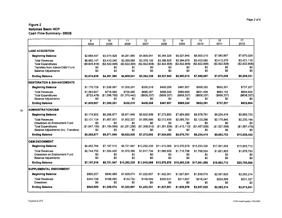|                                                                                                                          | 9<br>2004                                   | $\overline{10}$<br>2005                     | 11<br>2006                                 | 12<br>2007                                  | 13<br>2008                                 | 14<br>2009                                 | 15<br>2010                                 | 16<br>2011                                 | $\overline{17}$<br>2012                    |
|--------------------------------------------------------------------------------------------------------------------------|---------------------------------------------|---------------------------------------------|--------------------------------------------|---------------------------------------------|--------------------------------------------|--------------------------------------------|--------------------------------------------|--------------------------------------------|--------------------------------------------|
| <b>LAND ACQUISITION</b>                                                                                                  |                                             |                                             |                                            |                                             |                                            |                                            |                                            |                                            |                                            |
| <b>Beginning Balance</b>                                                                                                 | \$2,668,497                                 | \$3,674,828                                 | \$4,261,960                                | \$4,809,041                                 | \$5,364,328                                | \$5,927,945                                | \$6,500,015                                | \$7,080,667                                | \$7,670,029                                |
| <b>Total Revenues</b><br><b>Total Expenditures</b><br>Transfers from Admin/O&M Fund<br><b>Balance Adjustments</b>        | \$6.652.147<br>( \$5,645,816)<br>\$0<br>\$O | \$3.410.040<br>(\$2,822,908)<br>\$0<br>\$0  | \$3.369.989<br>(\$2,822,908)<br>\$0<br>\$0 | \$3,378,195<br>( \$2,822,908)<br>\$0<br>\$0 | \$3.386.525<br>(\$2,822,908)<br>\$0<br>\$0 | \$3,394.979<br>(\$2,822,908)<br>\$0<br>\$0 | \$3,403,560<br>(\$2,822,908)<br>\$0<br>\$0 | \$3.412.270<br>(\$2,822,908)<br>SO.<br>\$0 | \$3,421.110<br>(\$2,822,908)<br>\$0<br>\$0 |
| <b>Ending Balance</b>                                                                                                    | \$3,674,828                                 | \$4.261.960                                 | \$4,809,041                                | \$5,364,328                                 | \$5,927,945                                | \$6,500,015                                | \$7,080,667                                | \$7,670,029                                | \$8,268,231                                |
| <b>RESTORATION &amp; ENHANCEMENTS</b>                                                                                    |                                             |                                             |                                            |                                             |                                            |                                            |                                            |                                            |                                            |
| <b>Beginning Balance</b>                                                                                                 | \$1.178.709                                 | \$1.838.887                                 | \$1,000,201                                | \$330.218                                   | \$408.268                                  | \$487.957                                  | \$569.320                                  | \$652.391                                  | \$737.207                                  |
| <b>Total Revenues</b><br><b>Total Expenditures</b><br><b>Balance Adjustments</b>                                         | \$1.383.657<br>(\$723,479)<br>\$0           | \$718.069<br>(\$1,556,755)<br>\$0           | \$700.456<br>(\$1,370,440)<br>\$0          | \$686,387<br>(\$608,337)<br>\$0             | \$688.026<br>$($ \$608,337)<br>\$0         | \$689.699<br>(\$608,337)<br>\$0            | \$691,408<br>( \$608, 337)<br>\$0          | \$693.152<br>(\$608,337)<br>\$0            | \$694,934<br>(\$608.337)<br>SO.            |
| <b>Ending Balance</b>                                                                                                    | \$1,838,887                                 | \$1,000,201                                 | \$330,218                                  | \$408,268                                   | \$487,957                                  | \$569,320                                  | \$652,391                                  | \$737,207                                  | \$823,804                                  |
| <b>ADMINISTRATION/O&amp;M</b>                                                                                            |                                             |                                             |                                            |                                             |                                            |                                            |                                            |                                            |                                            |
| <b>Beginning Balance</b>                                                                                                 | \$3.174.923                                 | \$5.258.877                                 | \$5.971.849                                | \$6.622.939                                 | \$7.272.693                                | \$7,924,093                                | \$8,578,761                                | \$9,234,419                                | \$9,883,703                                |
| <b>Total Revenues</b><br>Drawdown on Endowment Fund<br><b>Total Expenditures</b><br>Balance Adjustments (Inc. Transfers) | \$3.131.104<br>\$0<br>(\$1.047.150)<br>\$0  | \$1,867,931<br>\$0<br>(S1, 154, 959)<br>\$0 | \$1.902.327<br>\$0<br>(\$1,251,236)<br>\$0 | \$1.956.666<br>\$0<br>(\$1,306,912)<br>\$0  | \$2,012,938<br>\$0<br>(\$1,361,538)<br>SO. | \$2,069,781<br>\$0<br>(\$1,415,113)<br>80  | \$2,123,296<br>\$0<br>(S1, 467, 638)<br>S0 | \$2,176,840<br>\$0<br>(\$1,527,556)<br>\$0 | \$2,230,194<br>SO.<br>(\$1,587,475)<br>80  |
| <b>Ending Balance</b>                                                                                                    | \$5,258,877                                 | \$5,971,849                                 | \$6,622,939                                | \$7,272,693                                 | \$7,924,093                                | \$8,578,761                                | \$9,234,419                                | \$9,883,703                                | \$10,526,422                               |
| <b>O&amp;M ENDOWMENT</b>                                                                                                 |                                             |                                             |                                            |                                             |                                            |                                            |                                            |                                            |                                            |
| <b>Beginning Balance</b>                                                                                                 | \$4,452,764                                 | \$7,197,516                                 | \$8.721.947                                | \$10.292.335                                | \$11,910,069                               | \$13,576,578                               | \$15,293,336                               | \$17,061,859                               | \$18,883,712                               |
| <b>Total Revenues</b><br>Drawdown on Endowment Fund<br><b>Balance Adjustments</b>                                        | \$2,744,752<br>\$0<br>\$0                   | \$1,524,430<br>\$0<br>\$0                   | \$1,570,388<br>\$0<br>\$0                  | \$1,617,734<br>\$0<br>\$0                   | \$1,666,509<br>\$0<br>S <sub>0</sub>       | \$1,716,758<br>\$0<br>\$0                  | \$1,768,524<br>\$0<br>\$0                  | \$1,821,853<br>\$0<br>\$0                  | \$1,876,793<br>\$0<br>\$0                  |
| <b>Ending Balance</b>                                                                                                    | \$7.197.516                                 | \$8,721,947                                 | \$10,292,335                               | \$11,910,069                                | \$13,576,578                               | \$15,293,336                               | \$17,061,859                               | \$18,883,712                               | \$20,760,506                               |
| SUPPLEMENTAL ENDOWMENT                                                                                                   |                                             |                                             |                                            |                                             |                                            |                                            |                                            |                                            |                                            |
| <b>Beginning Balance</b>                                                                                                 | \$500,257                                   | \$840,985                                   | \$1,029,074                                | \$1,222,807                                 | \$1,422,351                                | \$1,627,881                                | \$1,839,578                                | \$2,057,625                                | \$2,282,214                                |
| <b>Total Revenues</b><br>Drawdown                                                                                        | \$340.728<br>\$0                            | \$188,090<br>\$0                            | \$193,732<br>\$0                           | \$199,544<br>\$0                            | \$205,531<br>\$0                           | \$211,697<br>\$0                           | \$218.047<br>\$0                           | \$224,589<br>\$0                           | \$231,327<br>\$0                           |
| <b>Ending Balance</b>                                                                                                    | \$840,985                                   | \$1,029,074                                 | \$1,222,807                                | \$1,422,351                                 | \$1,627,881                                | \$1,839,578                                | \$2,057,625                                | \$2,282,214                                | \$2,513,541                                |

Prepared by EPS.

 $\sigma$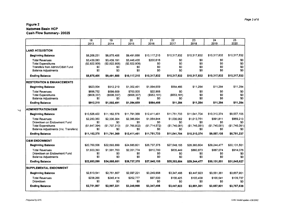|                                                                                                                                                   | $\overline{18}$<br>2013                                    | 19<br>2014                                                | $\overline{20}$<br>2015                                    | $\overline{21}$<br>2016                                   | $\overline{22}$<br>2017                                    | $\overline{23}$<br>2018                                    | $\overline{24}$<br>2019                                 | $\overline{25}$<br>2020                                 |
|---------------------------------------------------------------------------------------------------------------------------------------------------|------------------------------------------------------------|-----------------------------------------------------------|------------------------------------------------------------|-----------------------------------------------------------|------------------------------------------------------------|------------------------------------------------------------|---------------------------------------------------------|---------------------------------------------------------|
|                                                                                                                                                   |                                                            |                                                           |                                                            |                                                           |                                                            |                                                            |                                                         |                                                         |
| <b>LAND ACQUISITION</b>                                                                                                                           |                                                            |                                                           |                                                            |                                                           |                                                            |                                                            |                                                         |                                                         |
| <b>Beginning Balance</b>                                                                                                                          | \$8.268.231                                                | \$8,875,406                                               | \$9.491.688                                                | \$10.117.215                                              | \$10.317.832                                               | \$10.317.832                                               | \$10.317,832                                            | \$10.317,832                                            |
| <b>Total Revenues</b><br><b>Total Expenditures</b><br>Transfers from Admin/O&M Fund<br><b>Balance Adjustments</b>                                 | \$3,430.083<br>(\$2,822,908)<br>\$0<br>\$0                 | \$3,439,191<br>(\$2,822,908)<br>80<br>\$0                 | \$3,448,435<br>(\$2,822,908)<br>\$0<br>\$0                 | \$200,616<br>\$0<br>\$0<br>\$0                            | \$0<br>\$0<br>\$0<br>\$0                                   | \$0<br>\$O<br>\$0<br>\$0                                   | \$0<br>\$0<br>\$0<br>\$0                                | \$0<br>\$0<br>\$0<br>\$0                                |
| <b>Ending Balance</b>                                                                                                                             | \$8,875,406                                                | \$9,491,688                                               | \$10,117,215                                               | \$10,317,832                                              | \$10,317,832                                               | \$10,317,832                                               | \$10,317,832                                            | \$10,317,832                                            |
| <b>RESTORATION &amp; ENHANCEMENTS</b>                                                                                                             |                                                            |                                                           |                                                            |                                                           |                                                            |                                                            |                                                         |                                                         |
| <b>Beginning Balance</b>                                                                                                                          | \$823,804                                                  | \$912,219                                                 | \$1,002,491                                                | \$1.094.659                                               | \$564,466                                                  | \$11,284                                                   | \$11,284                                                | \$11,284                                                |
| <b>Total Revenues</b><br><b>Total Expenditures</b><br><b>Balance Adjustments</b>                                                                  | \$696,752<br>( \$608, 337)<br>\$0                          | \$698,609<br>$($ \$608,337 $)$<br>SO.                     | \$700,505<br>$($ \$608,337 $)$<br>\$0                      | \$22,988<br>(\$553, 181)<br>\$0                           | \$0<br>( \$553, 181)<br>\$0                                | \$0<br>\$0<br>\$0                                          | \$0<br>\$0<br>\$0                                       | \$0<br>\$0<br>\$0                                       |
| <b>Ending Balance</b>                                                                                                                             | \$912,219                                                  | \$1,002,491                                               | \$1,094,659                                                | \$564,466                                                 | \$11,284                                                   | \$11,284                                                   | \$11,284                                                | \$11,284                                                |
| <b>ADMINISTRATION/O&amp;M</b>                                                                                                                     |                                                            |                                                           |                                                            |                                                           |                                                            |                                                            |                                                         |                                                         |
| <b>Beginning Balance</b>                                                                                                                          | \$10,526,422                                               | \$11,162,378                                              | \$11,791.369                                               | \$12,411,461                                              | \$11,751,733                                               | \$11,041,704                                               | \$10,310,374                                            | \$9,557,105                                             |
| <b>Total Revenues</b><br>Drawdown on Endowment Fund<br><b>Total Expenditures</b><br>Balance Adjustments (Inc. Transfers)<br><b>Ending Balance</b> | \$2.283.350<br>\$0<br>(\$1,647,394)<br>\$0<br>\$11,162,378 | \$2,336,304<br>80<br>(\$1,707,313)<br>SO.<br>\$11,791,369 | \$2.386.894<br>\$0<br>(\$1,766,802)<br>\$0<br>\$12,411,461 | \$1.054.844<br>\$0<br>(S1,714,572)<br>\$0<br>\$11,751,733 | \$1,035,052<br>\$0<br>(\$1,745,081)<br>\$0<br>\$11,041,704 | \$1,013,751<br>SO.<br>(\$1,745,081)<br>\$0<br>\$10,310,374 | \$991,811<br>\$0<br>(\$1,745,081)<br>\$0<br>\$9,557,105 | \$969,213<br>\$0<br>(\$1,745,081)<br>\$0<br>\$8,781,237 |
| <b>O&amp;M ENDOWMENT</b>                                                                                                                          |                                                            |                                                           |                                                            |                                                           |                                                            |                                                            |                                                         |                                                         |
| <b>Beginning Balance</b>                                                                                                                          | \$20,760,506                                               | \$22,693,899                                              | \$24,685,601                                               | \$26,737,375                                              | \$27,548,155                                               | \$28,383,604                                               | \$29,244,477                                            | \$30,131,551                                            |
| <b>Total Revenues</b><br>Drawdown on Endowment Fund<br><b>Balance Adjustments</b>                                                                 | \$1,933,393<br>\$0<br>S0                                   | \$1.991.703<br>\$0<br>\$0                                 | \$2.051.774<br>\$0<br>\$0                                  | \$810.780<br>\$0<br>\$0                                   | \$835,449<br>\$0<br>\$0                                    | \$860,873<br>\$0<br>\$0                                    | \$887,074<br>\$0<br>\$0                                 | \$914,076<br>\$0<br>\$0                                 |
| <b>Ending Balance</b>                                                                                                                             | \$22,693,899                                               | \$24,685,601                                              | \$26,737,375                                               | \$27,548,155                                              | \$28,383,604                                               | \$29,244,477                                               | \$30,131,551                                            | \$31,045,627                                            |
| <b>SUPPLEMENTAL ENDOWMENT</b>                                                                                                                     |                                                            |                                                           |                                                            |                                                           |                                                            |                                                            |                                                         |                                                         |
| <b>Beginning Balance</b>                                                                                                                          | \$2,513,541                                                | \$2,751,807                                               | \$2,997,221                                                | \$3,249,998                                               | \$3,347,498                                                | \$3,447,923                                                | \$3,551,361                                             | \$3,657,901                                             |
| <b>Total Revenues</b><br>Drawdown                                                                                                                 | \$238.266<br>\$0                                           | \$245.414<br>\$0                                          | \$252,777<br>\$0                                           | \$97.500<br>\$0                                           | \$100.425<br>S <sub>0</sub>                                | \$103.438<br>\$0                                           | \$106.541<br>\$0                                        | \$109.737<br>\$0                                        |
| <b>Ending Balance</b>                                                                                                                             | \$2,751,807                                                | \$2,997,221                                               | \$3,249,998                                                | \$3,347,498                                               | \$3,447,923                                                | \$3,551,361                                                | \$3,657,901                                             | \$3,767,639                                             |

Prepared by EPS.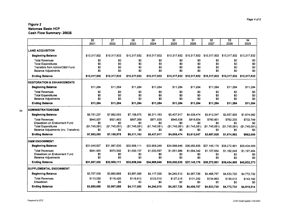|                                       | $\overline{26}$ | $\overline{27}$ | 28            | 29            | 30            | 31             | 32            | 33           | 34            |
|---------------------------------------|-----------------|-----------------|---------------|---------------|---------------|----------------|---------------|--------------|---------------|
|                                       | 2021            | 2022            | 2023          | 2024          | 2025          | 2026           | 2027          | 2028         | 2029          |
|                                       |                 |                 |               |               |               |                |               |              |               |
| <b>LAND ACQUISITION</b>               |                 |                 |               |               |               |                |               |              |               |
| <b>Beginning Balance</b>              | \$10,317,832    | \$10,317,832    | \$10,317,832  | \$10.317.832  | \$10,317,832  | \$10,317,832   | \$10,317,832  | \$10,317,832 | \$10,317,832  |
| <b>Total Revenues</b>                 | \$0             | \$0             | \$0           | \$0           | \$0           | \$0            | \$0           | \$0          | \$0           |
| <b>Total Expenditures</b>             | \$0             | \$0             | \$0           | \$0           | \$0           | \$0            | \$0           | \$0          | \$0           |
| Transfers from Admin/O&M Fund         | \$0             | \$0             | \$0           | SO.           | \$0           | \$0            | \$0           | \$0          | \$0           |
| <b>Balance Adjustments</b>            | \$0             | \$0             | \$0           | \$0           | \$0           | \$0            | \$0           | \$O          | \$0           |
| <b>Ending Balance</b>                 | \$10,317,832    | \$10,317,832    | \$10,317,832  | \$10.317.832  | \$10,317,832  | \$10,317,832   | \$10,317,832  | \$10,317,832 | \$10.317.832  |
| <b>RESTORATION &amp; ENHANCEMENTS</b> |                 |                 |               |               |               |                |               |              |               |
| <b>Beginning Balance</b>              | \$11.284        | \$11.284        | \$11.284      | \$11.284      | \$11.284      | \$11.284       | \$11.284      | \$11,284     | \$11,284      |
| <b>Total Revenues</b>                 | \$0             | \$0             | \$0           | SO.           | \$0           | \$0            | \$0           | \$0          | \$0           |
| <b>Total Expenditures</b>             | \$0             | \$0             | \$0           | \$0           | \$0           | \$0            | \$O           | \$0          | \$0           |
| <b>Balance Adjustments</b>            | \$0             | \$0             | \$0           | \$0           | \$0           | \$0            | \$O           | \$0          | \$0           |
| <b>Ending Balance</b>                 | \$11,284        | \$11,284        | \$11,284      | \$11,284      | \$11,284      | \$11,284       | \$11,284      | \$11,284     | \$11,284      |
| ADMINISTRATION/O&M                    |                 |                 |               |               |               |                |               |              |               |
| <b>Beginning Balance</b>              | \$8.781.237     | \$7,982,093     | \$7,158,975   | \$6.311.163   | \$5,437,917   | \$4,538,474    | \$3,612,047   | \$2,657,828  | \$1,674.982   |
| <b>Total Revenues</b>                 | \$945.937       | \$921,963       | \$897,269     | \$871,835     | \$845,638     | \$818,654      | \$790.861     | \$762,235    | \$732.749     |
| Drawdown on Endowment Fund            | \$0             | \$0             | \$0           | \$0           | \$O           | \$0            | \$0           | \$0          | \$0           |
| <b>Total Expenditures</b>             | (S1.745.081)    | (S1.745.081)    | (\$1,745,081) | (\$1.745.081) | (\$1,745,081) | (\$1,745,081)  | (\$1.745.081) | (S1.745.081) | (\$1,745.081) |
| Balance Adjustments (Inc. Transfers)  | \$0             | \$0             | \$0           | \$0           | \$0           | \$0            | \$0           | SO.          | \$0           |
| <b>Ending Balance</b>                 | \$7,982,093     | \$7,158,975     | \$6,311.163   | \$5,437,917   | \$4,538,474   | \$3,612,047    | \$2,657,828   | \$1,674,982  | \$662,650     |
| <b>O&amp;M ENDOWMENT</b>              |                 |                 |               |               |               |                |               |              |               |
| <b>Beginning Balance</b>              | \$31.045.627    | \$31.987.530    | \$32,958,111  | \$33,958,249  | \$34,988,846  | \$36,050,835   | \$37,145,176  | \$38,272,861 | \$39,434,909  |
| Total Revenues                        | \$941.903       | \$970,582       | \$1,000.137   | \$1,030,597   | \$1,061,989   | \$1,094,342    | \$1,127,684   | \$1,162,048  | \$1,197,464   |
| Drawdown on Endowment Fund            | \$0             | \$0             | \$0           | \$0           | \$0           | \$0            | \$0           | \$0          | \$0           |
| <b>Balance Adjustments</b>            | \$0             | \$0             | \$0           | \$0           | \$0           | \$0            | 30            | \$0          | \$0           |
| <b>Ending Balance</b>                 | \$31,987,530    | \$32,958,111    | \$33,958,249  | \$34,988,846  | \$36,050,835  | \$37,145,176   | \$38,272,861  | \$39,434,909 | \$40.632.373  |
| <b>SUPPLEMENTAL ENDOWMENT</b>         |                 |                 |               |               |               |                |               |              |               |
| <b>Beginning Balance</b>              | \$3,767,639     | \$3,880,668     | \$3,997,088   | \$4,117,000   | \$4,240,510   | \$4,367,726    | \$4,498,757   | \$4,633,720  | \$4,772,732   |
| <b>Total Revenues</b>                 | \$113,029       | \$116,420       | \$119,913     | \$123,510     | \$127,215     | \$131,032      | \$134.963     | \$139,012    | \$143,182     |
| Drawdown                              | \$0             | \$0             | \$0           | \$0           | \$0           | S <sub>0</sub> | \$0           | \$0          | \$0           |
| <b>Ending Balance</b>                 | \$3,880,668     | \$3,997,088     | \$4,117,000   | \$4,240,510   | \$4,367,726   | \$4,498,757    | \$4,633,720   | \$4,772,732  | \$4,915,914   |
|                                       |                 |                 |               |               |               |                |               |              |               |

 $\Delta \sim 10^{-11}$ 

 $\mathcal{L}^{\text{max}}_{\text{max}}$ 

 $\infty$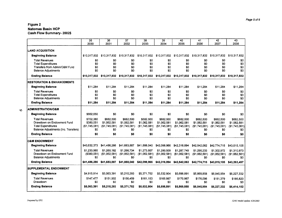|                                                                   | 35<br>2030                 | 36<br>2031           | 37<br>2032           | 38<br>2033            | 39<br>2034           | 40<br>2035           | 41<br>2036           | 42<br>2037           | 43<br>2038           |
|-------------------------------------------------------------------|----------------------------|----------------------|----------------------|-----------------------|----------------------|----------------------|----------------------|----------------------|----------------------|
| <b>LAND ACQUISITION</b>                                           |                            |                      |                      |                       |                      |                      |                      |                      |                      |
| <b>Beginning Balance</b>                                          | \$10,317,832               | \$10,317,832         | \$10,317,832         | \$10,317,832          | \$10,317,832         | \$10,317,832         | \$10,317,832         | \$10,317,832         | \$10,317,832         |
| <b>Total Revenues</b>                                             | \$0                        | \$0                  | \$0                  | \$0                   | \$0                  | \$0                  | 30                   | \$0                  | \$0                  |
| <b>Total Expenditures</b>                                         | \$0                        | \$0                  | \$0                  | \$0                   | \$0                  | \$0                  | \$0                  | \$0                  | \$0                  |
| Transfers from Admin/O&M Fund<br><b>Balance Adjustments</b>       | SO.<br>\$O                 | \$0<br>\$0           | \$0<br>\$0           | \$0<br>\$0            | \$0<br>\$0           | \$0<br>\$0           | \$0<br>\$0           | \$0<br>\$0           | \$0<br>\$0           |
| <b>Ending Balance</b>                                             | \$10.317,832               | \$10.317.832         | \$10.317.832         | \$10,317,832          | \$10,317,832         | \$10,317,832         | \$10,317,832         | \$10,317,832         | \$10,317,832         |
| <b>RESTORATION &amp; ENHANCEMENTS</b>                             |                            |                      |                      |                       |                      |                      |                      |                      |                      |
| <b>Beginning Balance</b>                                          | \$11,284                   | \$11,284             | \$11,284             | \$11,284              | \$11.284             | \$11.284             | \$11,284             | \$11.284             | \$11,284             |
| <b>Total Revenues</b>                                             | \$0                        | \$0                  | \$0                  | \$0                   | \$0                  | \$0                  | \$0                  | \$0                  | \$0                  |
| <b>Total Expenditures</b>                                         | \$0                        | \$0                  | \$0                  | \$0                   | \$0                  | \$0                  | \$0                  | \$0                  | \$0                  |
| <b>Balance Adjustments</b>                                        | \$0                        | \$0                  | \$0                  | \$0                   | \$0                  | \$0                  | \$0                  | \$0                  | \$0                  |
| <b>Ending Balance</b>                                             | \$11,284                   | \$11,284             | \$11,284             | \$11,284              | \$11,284             | \$11,284             | \$11,284             | \$11.284             | \$11,284             |
| <b>ADMINISTRATION/O&amp;M</b>                                     |                            |                      |                      |                       |                      |                      |                      |                      |                      |
| <b>Beginning Balance</b>                                          | \$662,650                  | \$0                  | \$0                  | \$0                   | \$0                  | \$0                  | \$0                  | \$0                  | \$0                  |
| <b>Total Revenues</b>                                             | \$702,380                  | \$682.500            | \$682.500            | \$682.500             | \$682,500            | \$682,500            | \$682,500            | \$682.500            | \$682,500            |
| Drawdown on Endowment Fund                                        | \$380.051                  | \$1,062.581          | \$1,062,581          | \$1,062.581           | \$1,062,581          | \$1,062,581          | \$1,062,581          | \$1,062,581          | \$1,062,581          |
| <b>Total Expenditures</b><br>Balance Adjustments (Inc. Transfers) | (S1.745.081)<br>\$0        | (\$1,745,081)<br>\$0 | (\$1,745,081)<br>\$0 | (\$1,745.081)<br>\$0  | (S1,745,081)<br>\$0  | (\$1,745,081)<br>\$0 | (\$1,745,081)<br>\$0 | (\$1,745,081)<br>\$0 | (\$1,745,081)<br>\$0 |
| <b>Ending Balance</b>                                             | \$0                        | \$0                  | \$0                  | \$0                   | \$0                  | \$0                  | \$0                  | \$0                  | \$0                  |
|                                                                   |                            |                      |                      |                       |                      |                      |                      |                      |                      |
| <b>O&amp;M ENDOWMENT</b>                                          |                            |                      |                      |                       |                      |                      |                      |                      |                      |
| <b>Beginning Balance</b>                                          | \$40,632,373               | \$41,486,286         | \$41,683,887         | \$41,888,040          | \$42,098,966         | \$42,316,894         | \$42,542,062         | \$42,774,715         | \$43,015.105         |
| <b>Total Revenues</b><br>Drawdown on Endowment Fund               | \$1,233,965<br>(\$380,051) | \$1,260,182          | \$1,266,734          | \$1,273,507           | \$1.280,509          | \$1,287,749          | \$1,295,233          | \$1,302,972          | \$1.310,973          |
| <b>Balance Adjustments</b>                                        | \$0                        | (\$1,062,581)<br>\$0 | (\$1,062,581)<br>\$0 | ( \$1,062,581)<br>\$0 | (\$1,062,581)<br>\$0 | (\$1,062,581)<br>\$0 | (\$1,062,581)<br>\$0 | (\$1,062,581)<br>\$0 | (\$1,062,581)<br>\$0 |
| <b>Ending Balance</b>                                             | \$41,486,286               | \$41,683,887         | \$41,888,040         | \$42.098.966          | \$42,316,894         | \$42,542,062         | \$42,774,715         | \$43,015,105         | \$43,263,497         |
| <b>SUPPLEMENTAL ENDOWMENT</b>                                     |                            |                      |                      |                       |                      |                      |                      |                      |                      |
| <b>Beginning Balance</b>                                          | \$4,915,914                | \$5,063,391          | \$5,215,293          | \$5,371,752           | \$5,532,904          | \$5,698,891          | \$5,869,858          | \$6,045,954          | \$6,227,332          |
| <b>Total Revenues</b>                                             | \$147,477                  | \$151,902            | \$156,459            | \$161.153             | \$165.987            | \$170.967            | \$176,096            | \$181,379            | \$186,820            |
| Drawdown                                                          | \$0                        | 80                   | \$0                  | \$0                   | \$0                  | \$0                  | \$0                  | SO.                  | \$0                  |
| <b>Ending Balance</b>                                             | \$5,063,391                | \$5,215,293          | \$5,371,752          | \$5,532,904           | \$5,698.891          | \$5,869,858          | \$6,045,954          | \$6,227,332          | \$6,414,152          |

*Page 5 of 6*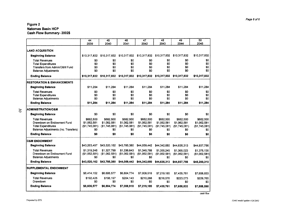|                                       | 44<br>2039     | 45<br>2040    | 46<br>2041     | 47<br>2042    | 48<br>2043    | 49<br>2044    | 50<br>2045    |
|---------------------------------------|----------------|---------------|----------------|---------------|---------------|---------------|---------------|
|                                       |                |               |                |               |               |               |               |
| <b>LAND ACQUISITION</b>               |                |               |                |               |               |               |               |
| <b>Beginning Balance</b>              | \$10.317.832   | \$10,317,832  | \$10,317,832   | \$10,317,832  | \$10,317,832  | \$10,317,832  | \$10,317,832  |
| <b>Total Revenues</b>                 | \$0            | \$0           | S <sub>0</sub> | \$0           | \$0           | \$0           | \$0           |
| <b>Total Expenditures</b>             | S <sub>0</sub> | \$0           | \$0            | \$0           | \$0           | SO.           | \$0           |
| Transfers from Admin/O&M Fund         | \$O            | \$0           | SO.            | \$0           | \$0           | \$0           | \$0           |
| <b>Balance Adjustments</b>            | \$0            | \$0           | \$0            | \$0           | \$0           | SO.           | \$0           |
| <b>Ending Balance</b>                 | \$10,317,832   | \$10,317,832  | \$10,317,832   | \$10,317,832  | \$10,317,832  | \$10,317,832  | \$10,317,832  |
| <b>RESTORATION &amp; ENHANCEMENTS</b> |                |               |                |               |               |               |               |
| <b>Beginning Balance</b>              | \$11.284       | \$11,284      | \$11,284       | \$11,284      | \$11,284      | \$11,284      | \$11,284      |
| <b>Total Revenues</b>                 | \$0            | \$0           | \$0            | \$0           | 80            | \$0           | \$0           |
| <b>Total Expenditures</b>             | \$0            | \$0           | \$0            | SO.           | SO.           | SO.           | \$0           |
| <b>Balance Adjustments</b>            | \$0            | \$0           | 80             | SO.           | \$0           | \$0           | \$0           |
| <b>Ending Balance</b>                 | \$11,284       | \$11,284      | \$11,284       | \$11,284      | \$11,284      | \$11,284      | \$11,284      |
| ADMINISTRATION/O&M                    |                |               |                |               |               |               |               |
| <b>Beginning Balance</b>              | \$0            | \$0           | \$0            | SO.           | SO.           | \$0           | SO.           |
| <b>Total Revenues</b>                 | \$682.500      | \$682,500     | \$682.500      | \$682,500     | \$682.500     | \$682.500     | \$682.500     |
| Drawdown on Endowment Fund            | \$1,062,581    | \$1,062,581   | \$1,062,581    | \$1,062,581   | \$1,062,581   | \$1,062,581   | \$1,062,581   |
| <b>Total Expenditures</b>             | (\$1,745,081)  | (\$1,745,081) | ( \$1,745,081) | (\$1,745,081) | (\$1,745,081) | (\$1,745,081) | (\$1,745,081) |
| Balance Adjustments (Inc. Transfers)  | \$0            | \$0           | \$0            | SO.           | \$0           | \$0           | \$0           |
| <b>Ending Balance</b>                 | \$0            | \$0           | \$0            | \$0           | \$0           | \$0           | \$0           |
| <b>O&amp;M ENDOWMENT</b>              |                |               |                |               |               |               |               |
| <b>Beginning Balance</b>              | \$43,263,497   | \$43,520,162  | \$43,785,380   | \$44,059,442  | \$44,342,650  | \$44,635,313  | \$44,937,756  |
| <b>Total Revenues</b>                 | \$1,319,245    | \$1,327,799   | \$1,336,643    | \$1,345,788   | \$1,355,245   | \$1.365.023   | \$1,375,135   |
| Drawdown on Endowment Fund            | (\$1,062,581)  | (\$1,062,581) | (\$1,062,581)  | (\$1,062,581) | (\$1,062,581) | (\$1,062,581) | (\$1,062,581) |
| <b>Balance Adjustments</b>            | \$0            | \$0           | \$0            | \$0           | \$0           | \$0           | \$0           |
| <b>Ending Balance</b>                 | \$43,520,162   | \$43,785,380  | \$44,059,442   | \$44,342,650  | \$44,635,313  | \$44,937,756  | \$45,250,310  |
| SUPPLEMENTAL ENDOWMENT                |                |               |                |               |               |               |               |
| <b>Beginning Balance</b>              | \$6,414,152    | \$6,606,577   | \$6,804,774    | \$7,008,918   | \$7,219,185   | \$7,435,761   | \$7,658,833   |
| <b>Total Revenues</b>                 | \$192,425      | \$198,197     | \$204,143      | \$210,268     | \$216,576     | \$223.073     | \$229,765     |
| Drawdown                              | \$0            | \$0           | \$0            | \$0           | \$0           | \$0           | \$0           |
| <b>Ending Balance</b>                 | \$6,606,577    | \$6,804,774   | \$7,008,918    | \$7,219,185   | \$7,435,761   | \$7,658,833   | \$7,888,598   |
|                                       |                |               |                |               |               |               |               |

*cash flow*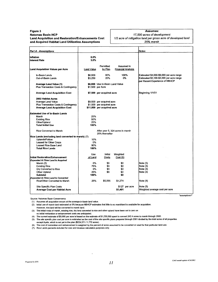### **Figure 3**

 $\Gamma$ 

#### **Natomas Basin HCP Land Acquisition and Restoration/Enhancements Cost and Acquired Habitat Land Utilization Assumptions**

#### **Assumes:**

*17,500 acres of development 1/2 acre of mitigation land per gross acre of developed land 25% marsh*

т

| <b>Part A - Assumptions</b>                        |            |                                 |                                         | Notes:                                   |
|----------------------------------------------------|------------|---------------------------------|-----------------------------------------|------------------------------------------|
| Inflation                                          | 0.0%       |                                 |                                         |                                          |
| Interest Rate                                      | 3.0%       |                                 |                                         |                                          |
|                                                    |            |                                 |                                         |                                          |
| <b>Land Acquisition Values per Acre</b>            | Land Value | Permitted<br>by Plan            | Assumed in<br><b>Financial Analysis</b> |                                          |
|                                                    |            |                                 |                                         |                                          |
| In-Basin Lands                                     | \$6,000    | 80%                             | 100%                                    | Estimated \$4,000-\$9,000 per acre range |
| Out-of-Basin Lands                                 | \$3,250    | 20%                             | 0%                                      | Estimated \$3,100-\$3,500 per acre range |
| <b>Average Land Value (1)</b>                      |            | \$6,000 Use In-Basin Land Value |                                         | per Recent Experience of NBHCP           |
| Plus Transaction Costs & Contingency               |            | \$1,500 per Acre                |                                         |                                          |
|                                                    |            |                                 |                                         |                                          |
| <b>Average Land Acquisition Cost</b>               |            | \$7,500 per acquired acre       |                                         | Beginning 1/1/01                         |
| 2002 Habitat Acres                                 |            |                                 |                                         |                                          |
| <b>Average Land Value</b>                          |            | \$9,500 per acquired acre       |                                         |                                          |
| Plus Transaction Costs & Contingency               |            | \$1,500 per acquired acre       |                                         |                                          |
| <b>Average Land Acquisition Cost</b>               |            | \$11,000 per acquired acre      |                                         |                                          |
| Estimated Use of In-Basin Lands                    |            |                                 |                                         |                                          |
| Marsh                                              | 25%        |                                 |                                         |                                          |
| <b>Existing Rice</b>                               | 50%        |                                 |                                         |                                          |
| Other/Upland                                       | 25%        |                                 |                                         |                                          |
| <b>Total Initial Use</b>                           | 100%       |                                 |                                         |                                          |
| Rice Converted to Marsh                            |            | 25% thereafter                  | After year 5, 324 acres in marsh        |                                          |
| Rice Lands (excluding land converted to marsh) (7) |            |                                 |                                         |                                          |
| Uplands/Fallow                                     | 10%        |                                 |                                         |                                          |
| <b>Leased for Other Crops</b>                      | 0%         |                                 |                                         |                                          |
| Leased Rice Base Land                              | 90%        |                                 |                                         |                                          |
| <b>Total Rice Lands</b>                            | 100%       |                                 |                                         |                                          |
|                                                    | Use        | Initial                         | Weighted                                |                                          |
| Initial Restoration/Enhancement                    | of Land    | Costs                           | Cost(6)                                 |                                          |
| <b>Expended At Time Land Is Acquired</b>           |            |                                 |                                         |                                          |
| Marsh (2)                                          | 0%         | \$0                             | \$0                                     | Note (3)                                 |
| <b>Existing Rice</b>                               | 75%        | \$0                             | \$0                                     | Note (3)                                 |
| Dry Converted to Rice                              | 0%         | \$0                             | \$0                                     | Note (3)                                 |
| Other Upland                                       | 25%        | \$0                             | \$0                                     | Note (3)                                 |
| <b>Subtotal</b>                                    | 100%       |                                 | \$0                                     |                                          |
| <b>Expended At Time Land Is Converted</b>          |            |                                 |                                         |                                          |
| Rice/Other Converted to Marsh                      | 25%        | \$5,095                         | \$1,274                                 | Note (4)                                 |
| Site Specific Plan Costs                           |            |                                 | \$127 per acre                          | Note (5)                                 |
| <b>Average Cost per Habitat Acre</b>               |            |                                 | \$1,401                                 | Weighted average cost per acre           |
|                                                    |            |                                 |                                         |                                          |

*"assumptions 1"*

**Source: Natomas Basin Conservancy**

**(1) Assumes all acquisition occurs at the average in-basin land value.**

**(2) Initial use of marsh land estimated at 0% because NBHCP estimates that little to no marshland is available for acquisition.**

**However, rice land will be converted to marsh land.**

**(3) The initial costs of marsh, existing rice, dry land converted to rice and other upland have been set to zero as no initial restoration or enhancement costs are anticipated.**

**(4) The current estimate of \$5,095 per acre is based on the estimate of \$1,235,000 spent to convert 242.4 acres to marsh through 2002.**

 $\ddot{\phantom{a}}$ 

**(5) The site specific plan cost per acre is estimated as the cost of the site specific plans prepared through 2001 divided by the total acres of all properties except Ayala, which is not yet in the plan (\$224,571 /1,772 acres).**

**(6) The cost of restoration and enhancement is weighted by the percent of acres assumed to be converted or used for that particular land use.**

**(7) Rice Lands percents included for cost and revenue calculation purposes only.**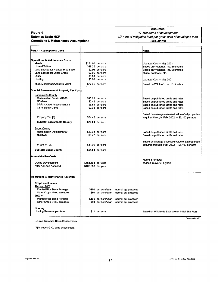#### **Figure 4 Natomas Basin HCP Operations & Maintenance Assumptions**

### **Assumes:**

*17,500 acres of development* 1/2 acre of mitigation land per gross acre of developed land *25% marsh*

| <b>Part A - Assumptions Con't</b>                  |                    |                     |                      |                                                                              |
|----------------------------------------------------|--------------------|---------------------|----------------------|------------------------------------------------------------------------------|
|                                                    |                    |                     |                      | Notes:                                                                       |
|                                                    |                    |                     |                      |                                                                              |
| <b>Operations &amp; Maintenance Costs</b>          |                    |                     |                      |                                                                              |
| Marsh                                              |                    | \$281.00 per acre   |                      | Updated Cost -- May 2001                                                     |
| Upland/Fallow                                      |                    | \$18.25 per acre    |                      | Based on Wildlands, Inc. Estimates                                           |
| Land Leased for Planted Rice Base                  |                    | \$2.96 per acre     |                      | Based on Wildlands, Inc. Estimates                                           |
| Land Leased for Other Crops                        |                    | \$2.96 per acre     |                      | alfalfa, safflower, etc.                                                     |
| Other                                              |                    | \$0.00 per acre     |                      |                                                                              |
| Hunting                                            |                    | \$0.00 per acre     |                      | Updated Cost - May 2001                                                      |
| Misc./Monitoring/Adaptive Mgmt.                    |                    | \$27.35 per acre    |                      | Based on Wildlands, Inc. Estimates                                           |
| <b>Special Assessment &amp; Property Tax Costs</b> |                    |                     |                      |                                                                              |
| Sacramento County                                  |                    |                     |                      |                                                                              |
| Reclamation District #1000                         |                    | \$13.08 per acre    |                      | Based on published tariffs and rates                                         |
| <b>NCMWA</b>                                       |                    | \$0.42 per acre     |                      | Based on published tariffs and rates                                         |
| SAFCA O&M Assessment #1                            |                    | \$5.69 per acre     |                      | Based on published tariffs and rates                                         |
| <b>CSAI Safety Lights</b>                          |                    | \$0.08 per acre     |                      | Based on published tariffs and rates                                         |
|                                                    |                    |                     |                      |                                                                              |
|                                                    |                    |                     |                      | Based on average assessed value of all properties                            |
| Property Tax [1]                                   |                    | \$54.42 per acre    |                      | acquired through Feb. 2002 - \$5,100 per acre                                |
| <b>Subtotal Sacramento County</b>                  |                    | \$73.68 per acre    |                      |                                                                              |
| <b>Sutter County</b>                               |                    |                     |                      |                                                                              |
| Reclamation District #1000                         |                    | \$13.08 per acre    |                      |                                                                              |
| <b>NCMWC</b>                                       |                    | \$0.42 per acre     |                      | Based on published tariffs and rates<br>Based on published tariffs and rates |
|                                                    |                    |                     |                      |                                                                              |
|                                                    |                    |                     |                      | Based on average assessed value of all properties                            |
| Property Tax                                       |                    | \$51.00 per acre    |                      | acquired through Feb. 2002 - \$5,100 per acre                                |
|                                                    |                    |                     |                      |                                                                              |
| <b>Subtotal Sutter County</b>                      |                    | \$64.50 per acre    |                      |                                                                              |
| <b>Administrative Costs</b>                        |                    |                     |                      |                                                                              |
|                                                    |                    |                     |                      | Figure 5 for detail                                                          |
| <b>During Development</b>                          | \$551,598 per year |                     |                      | phased in over 3-5 years                                                     |
| After All Land Acquired                            | \$468,858 per year |                     |                      |                                                                              |
|                                                    |                    |                     |                      |                                                                              |
| <b>Operations &amp; Maintenance Revenues</b>       |                    |                     |                      |                                                                              |
|                                                    |                    |                     |                      |                                                                              |
| <b>Crop Land Leases</b>                            |                    |                     |                      |                                                                              |
| Through 2002                                       |                    |                     |                      |                                                                              |
| <b>Planted Rice Base Acreage</b>                   |                    | \$160 per acre/year | normal ag. practices |                                                                              |
| Other Crops (Flex. acreage)                        |                    | \$80 per acre/year  | normal ag. practices |                                                                              |
| $2003 +$                                           |                    |                     |                      |                                                                              |
| <b>Planted Rice Base Acreage</b>                   |                    | \$160 per acre/year | normal ag. practices |                                                                              |
| Other Crops (Flex. acreage)                        |                    | \$80 per acre/year  | normal ag. practices |                                                                              |
|                                                    |                    |                     |                      |                                                                              |
| <b>Hunting</b>                                     |                    |                     |                      |                                                                              |
| Hunting Revenue per Acre                           |                    | \$12 per acre       |                      | Based on Wildlands Estimate for initial Site Plan                            |
|                                                    |                    |                     |                      |                                                                              |

**Source: Natomas Basin Conservancy**

**[1] Includes G.O. bond assessment.**

 $\hat{\mathcal{A}}$ 

"*assumptions2"*